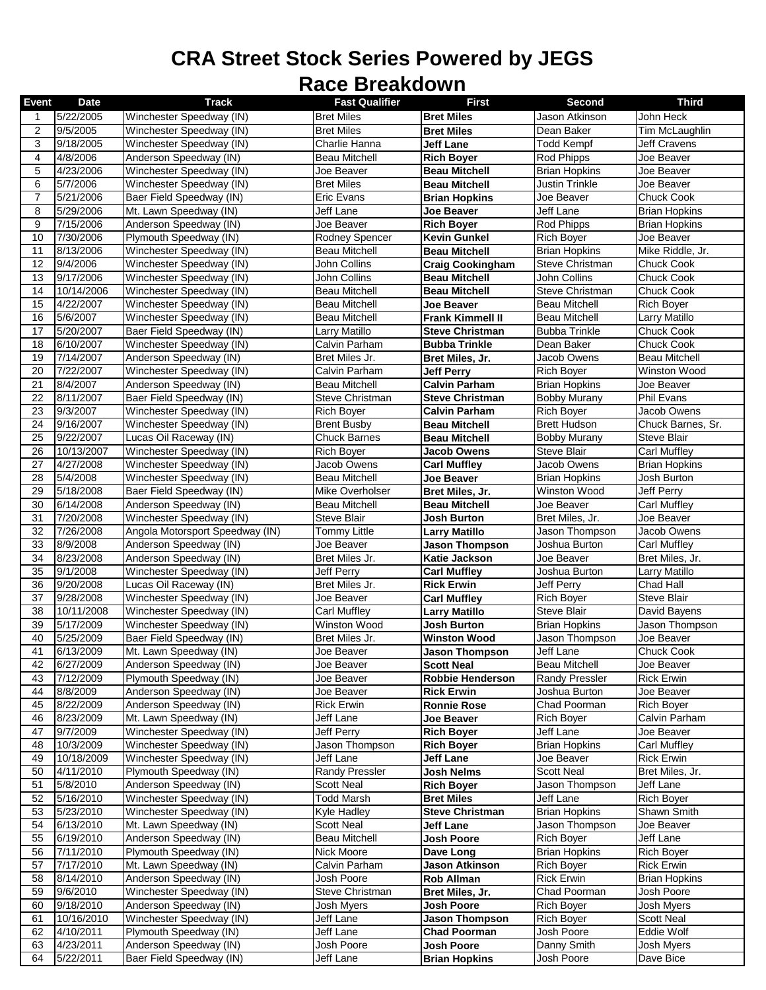## **CRA Street Stock Series Powered by JEGS Race Breakdown**

| <b>Event</b>   | <b>Date</b>           | <b>Track</b>                                       | <b>Fast Qualifier</b>        | <b>First</b>                         | Second                      | <b>Third</b>                    |
|----------------|-----------------------|----------------------------------------------------|------------------------------|--------------------------------------|-----------------------------|---------------------------------|
| 1              | 5/22/2005             | Winchester Speedway (IN)                           | <b>Bret Miles</b>            | <b>Bret Miles</b>                    | Jason Atkinson              | John Heck                       |
| $\overline{2}$ | 9/5/2005              | Winchester Speedway (IN)                           | <b>Bret Miles</b>            | <b>Bret Miles</b>                    | Dean Baker                  | Tim McLaughlin                  |
| 3              | 9/18/2005             | Winchester Speedway (IN)                           | Charlie Hanna                | Jeff Lane                            | Todd Kempf                  | <b>Jeff Cravens</b>             |
| 4              | 4/8/2006              | Anderson Speedway (IN)                             | <b>Beau Mitchell</b>         | <b>Rich Boyer</b>                    | Rod Phipps                  | Joe Beaver                      |
| 5              | 4/23/2006             | Winchester Speedway (IN)                           | Joe Beaver                   | <b>Beau Mitchell</b>                 | <b>Brian Hopkins</b>        | Joe Beaver                      |
| 6              | 5/7/2006              | Winchester Speedway (IN)                           | <b>Bret Miles</b>            | <b>Beau Mitchell</b>                 | <b>Justin Trinkle</b>       | Joe Beaver                      |
| $\overline{7}$ | 5/21/2006             | Baer Field Speedway (IN)                           | Eric Evans                   | <b>Brian Hopkins</b>                 | Joe Beaver                  | Chuck Cook                      |
| 8              | 5/29/2006             | Mt. Lawn Speedway (IN)                             | Jeff Lane                    | Joe Beaver                           | Jeff Lane                   | <b>Brian Hopkins</b>            |
| 9              | 7/15/2006             | Anderson Speedway (IN)                             | Joe Beaver                   | <b>Rich Boyer</b>                    | Rod Phipps                  | <b>Brian Hopkins</b>            |
| 10             | 7/30/2006             | Plymouth Speedway (IN)                             | Rodney Spencer               | Kevin Gunkel                         | <b>Rich Boyer</b>           | Joe Beaver                      |
| 11             | 8/13/2006             | Winchester Speedway (IN)                           | Beau Mitchell                | <b>Beau Mitchell</b>                 | <b>Brian Hopkins</b>        | Mike Riddle, Jr.                |
| 12             | 9/4/2006              | Winchester Speedway (IN)                           | John Collins                 | <b>Craig Cookingham</b>              | Steve Christman             | Chuck Cook                      |
| 13             | 9/17/2006             | Winchester Speedway (IN)                           | John Collins                 | <b>Beau Mitchell</b>                 | John Collins                | Chuck Cook                      |
| 14             | 10/14/2006            | Winchester Speedway (IN)                           | <b>Beau Mitchell</b>         | <b>Beau Mitchell</b>                 | Steve Christman             | Chuck Cook                      |
| 15             | 4/22/2007             | Winchester Speedway (IN)                           | Beau Mitchell                | Joe Beaver                           | <b>Beau Mitchell</b>        | <b>Rich Boyer</b>               |
| 16             | 5/6/2007              | Winchester Speedway (IN)                           | <b>Beau Mitchell</b>         | <b>Frank Kimmell II</b>              | <b>Beau Mitchell</b>        | Larry Matillo                   |
| 17             | 5/20/2007             | Baer Field Speedway (IN)                           | Larry Matillo                | <b>Steve Christman</b>               | <b>Bubba Trinkle</b>        | <b>Chuck Cook</b>               |
| 18             | 6/10/2007             | Winchester Speedway (IN)                           | Calvin Parham                | <b>Bubba Trinkle</b>                 | Dean Baker                  | Chuck Cook                      |
| 19             | 7/14/2007             | Anderson Speedway (IN)                             | Bret Miles Jr.               | Bret Miles, Jr.                      | Jacob Owens                 | <b>Beau Mitchell</b>            |
| 20             | 7/22/2007             | Winchester Speedway (IN)                           | Calvin Parham                | <b>Jeff Perry</b>                    | <b>Rich Boyer</b>           | Winston Wood                    |
| 21             | 8/4/2007              | Anderson Speedway (IN)                             | Beau Mitchell                | <b>Calvin Parham</b>                 | <b>Brian Hopkins</b>        | Joe Beaver                      |
| 22             | 8/11/2007             | Baer Field Speedway (IN)                           | Steve Christman              | <b>Steve Christman</b>               | <b>Bobby Murany</b>         | Phil Evans                      |
| 23             | 9/3/2007              | Winchester Speedway (IN)                           | <b>Rich Boyer</b>            | <b>Calvin Parham</b>                 | <b>Rich Boyer</b>           | Jacob Owens                     |
| 24             | 9/16/2007             | Winchester Speedway (IN)                           | <b>Brent Busby</b>           | <b>Beau Mitchell</b>                 | <b>Brett Hudson</b>         | Chuck Barnes, Sr.               |
| 25             | 9/22/2007             | Lucas Oil Raceway (IN)                             | <b>Chuck Barnes</b>          | <b>Beau Mitchell</b>                 | <b>Bobby Murany</b>         | <b>Steve Blair</b>              |
| 26             | 10/13/2007            | Winchester Speedway (IN)                           | Rich Boyer                   | Jacob Owens                          | <b>Steve Blair</b>          | <b>Carl Muffley</b>             |
| 27             | 4/27/2008             | Winchester Speedway (IN)                           | Jacob Owens                  | <b>Carl Muffley</b>                  | Jacob Owens                 | <b>Brian Hopkins</b>            |
| 28             | 5/4/2008              | Winchester Speedway (IN)                           | Beau Mitchell                | Joe Beaver                           | <b>Brian Hopkins</b>        | Josh Burton                     |
| 29             | 5/18/2008             | Baer Field Speedway (IN)                           | Mike Overholser              | Bret Miles, Jr.                      | Winston Wood                | Jeff Perry                      |
| 30             | 6/14/2008             | Anderson Speedway (IN)                             | <b>Beau Mitchell</b>         | <b>Beau Mitchell</b>                 | Joe Beaver                  | Carl Muffley                    |
| 31             | 7/20/2008             | Winchester Speedway (IN)                           | <b>Steve Blair</b>           | Josh Burton                          | Bret Miles, Jr.             | Joe Beaver                      |
| 32             | 7/26/2008             | Angola Motorsport Speedway (IN)                    | <b>Tommy Little</b>          | <b>Larry Matillo</b>                 | Jason Thompson              | Jacob Owens                     |
| 33<br>34       | 8/9/2008<br>8/23/2008 | Anderson Speedway (IN)                             | Joe Beaver<br>Bret Miles Jr. | <b>Jason Thompson</b>                | Joshua Burton               | Carl Muffley<br>Bret Miles, Jr. |
| 35             | 9/1/2008              | Anderson Speedway (IN)<br>Winchester Speedway (IN) | <b>Jeff Perry</b>            | Katie Jackson<br><b>Carl Muffley</b> | Joe Beaver<br>Joshua Burton | Larry Matillo                   |
| 36             | 9/20/2008             | Lucas Oil Raceway (IN)                             | Bret Miles Jr.               | <b>Rick Erwin</b>                    | Jeff Perry                  | Chad Hall                       |
| 37             | 9/28/2008             | Winchester Speedway (IN)                           | Joe Beaver                   | <b>Carl Muffley</b>                  | Rich Boyer                  | <b>Steve Blair</b>              |
| 38             | 10/11/2008            | Winchester Speedway (IN)                           | <b>Carl Muffley</b>          | <b>Larry Matillo</b>                 | Steve Blair                 | David Bayens                    |
| 39             | 5/17/2009             | Winchester Speedway (IN)                           | Winston Wood                 | <b>Josh Burton</b>                   | <b>Brian Hopkins</b>        | Jason Thompson                  |
| 40             | 5/25/2009             | Baer Field Speedway (IN)                           | Bret Miles Jr.               | <b>Winston Wood</b>                  | Jason Thompson              | Joe Beaver                      |
| 41             | 6/13/2009             | Mt. Lawn Speedway (IN)                             | Joe Beaver                   | <b>Jason Thompson</b>                | Jeff Lane                   | <b>Chuck Cook</b>               |
| 42             | 6/27/2009             | Anderson Speedway (IN)                             | Joe Beaver                   | <b>Scott Neal</b>                    | <b>Beau Mitchell</b>        | Joe Beaver                      |
| 43             | 7/12/2009             | Plymouth Speedway (IN)                             | Joe Beaver                   | <b>Robbie Henderson</b>              | <b>Randy Pressler</b>       | <b>Rick Erwin</b>               |
| 44             | 8/8/2009              | Anderson Speedway (IN)                             | Joe Beaver                   | <b>Rick Erwin</b>                    | Joshua Burton               | Joe Beaver                      |
| 45             | 8/22/2009             | Anderson Speedway (IN)                             | <b>Rick Erwin</b>            | <b>Ronnie Rose</b>                   | Chad Poorman                | <b>Rich Boyer</b>               |
| 46             | 8/23/2009             | Mt. Lawn Speedway (IN)                             | Jeff Lane                    | Joe Beaver                           | <b>Rich Boyer</b>           | Calvin Parham                   |
| 47             | 9/7/2009              | Winchester Speedway (IN)                           | Jeff Perry                   | <b>Rich Boyer</b>                    | Jeff Lane                   | Joe Beaver                      |
| 48             | 10/3/2009             | Winchester Speedway (IN)                           | Jason Thompson               | <b>Rich Boyer</b>                    | <b>Brian Hopkins</b>        | Carl Muffley                    |
| 49             | 10/18/2009            | Winchester Speedway (IN)                           | Jeff Lane                    | <b>Jeff Lane</b>                     | Joe Beaver                  | <b>Rick Erwin</b>               |
| 50             | 4/11/2010             | Plymouth Speedway (IN)                             | <b>Randy Pressler</b>        | Josh Nelms                           | <b>Scott Neal</b>           | Bret Miles, Jr.                 |
| 51             | 5/8/2010              | Anderson Speedway (IN)                             | <b>Scott Neal</b>            | <b>Rich Boyer</b>                    | Jason Thompson              | Jeff Lane                       |
| 52             | 5/16/2010             | Winchester Speedway (IN)                           | <b>Todd Marsh</b>            | <b>Bret Miles</b>                    | Jeff Lane                   | <b>Rich Boyer</b>               |
| 53             | 5/23/2010             | Winchester Speedway (IN)                           | <b>Kyle Hadley</b>           | <b>Steve Christman</b>               | <b>Brian Hopkins</b>        | Shawn Smith                     |
| 54             | 6/13/2010             | Mt. Lawn Speedway (IN)                             | <b>Scott Neal</b>            | <b>Jeff Lane</b>                     | Jason Thompson              | Joe Beaver                      |
| 55             | 6/19/2010             | Anderson Speedway (IN)                             | Beau Mitchell                | Josh Poore                           | <b>Rich Boyer</b>           | Jeff Lane                       |
| 56             | 7/11/2010             | Plymouth Speedway (IN)                             | Nick Moore                   | Dave Long                            | <b>Brian Hopkins</b>        | Rich Boyer                      |
| 57             | 7/17/2010             | Mt. Lawn Speedway (IN)                             | Calvin Parham                | Jason Atkinson                       | <b>Rich Boyer</b>           | Rick Erwin                      |
| 58             | 8/14/2010             | Anderson Speedway (IN)                             | Josh Poore                   | <b>Rob Allman</b>                    | <b>Rick Erwin</b>           | <b>Brian Hopkins</b>            |
| 59             | 9/6/2010              | Winchester Speedway (IN)                           | Steve Christman              | Bret Miles, Jr.                      | Chad Poorman                | Josh Poore                      |
| 60             | 9/18/2010             | Anderson Speedway (IN)                             | Josh Myers                   | Josh Poore                           | <b>Rich Boyer</b>           | Josh Myers                      |
| 61             | 10/16/2010            | Winchester Speedway (IN)                           | Jeff Lane                    | <b>Jason Thompson</b>                | Rich Boyer                  | Scott Neal                      |
| 62             | 4/10/2011             | Plymouth Speedway (IN)                             | Jeff Lane                    | <b>Chad Poorman</b>                  | Josh Poore                  | Eddie Wolf                      |
| 63             | 4/23/2011             | Anderson Speedway (IN)                             | Josh Poore                   | <b>Josh Poore</b>                    | Danny Smith                 | Josh Myers                      |
| 64             | 5/22/2011             | Baer Field Speedway (IN)                           | Jeff Lane                    | <b>Brian Hopkins</b>                 | Josh Poore                  | Dave Bice                       |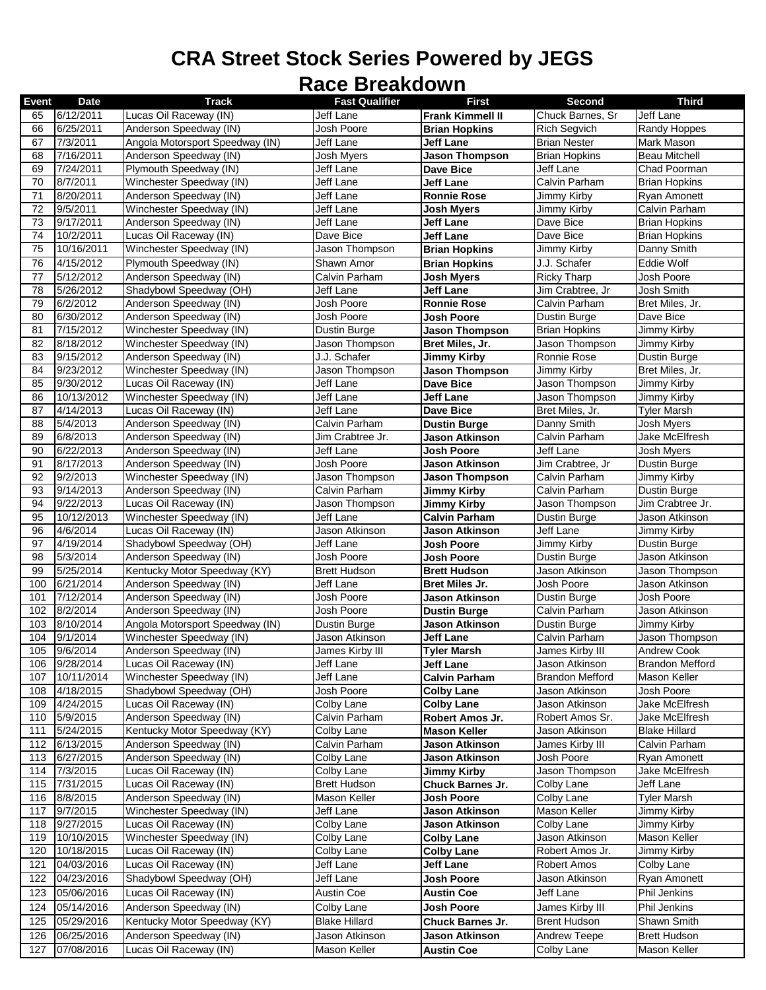## **CRA Street Stock Series Powered by JEGS**

## **Race Breakdown**

| <b>Event</b> | Date          | <b>Track</b>                    | <b>Fast Qualifier</b> | <b>First</b>            | Second                 | <b>Third</b>           |
|--------------|---------------|---------------------------------|-----------------------|-------------------------|------------------------|------------------------|
| 65           | 6/12/2011     | Lucas Oil Raceway (IN)          | Jeff Lane             | <b>Frank Kimmell II</b> | Chuck Barnes, Sr       | Jeff Lane              |
| 66           | 6/25/2011     | Anderson Speedway (IN)          | Josh Poore            | <b>Brian Hopkins</b>    | <b>Rich Segvich</b>    | <b>Randy Hoppes</b>    |
| 67           | 7/3/2011      | Angola Motorsport Speedway (IN) | Jeff Lane             | <b>Jeff Lane</b>        | <b>Brian Nester</b>    | <b>Mark Mason</b>      |
| 68           | 7/16/2011     | Anderson Speedway (IN)          | Josh Myers            | <b>Jason Thompson</b>   | <b>Brian Hopkins</b>   | <b>Beau Mitchell</b>   |
| 69           | 7/24/2011     | Plymouth Speedway (IN)          | Jeff Lane             | <b>Dave Bice</b>        | Jeff Lane              | Chad Poorman           |
|              | 8/7/2011      |                                 | Jeff Lane             |                         |                        |                        |
| 70           |               | Winchester Speedway (IN)        |                       | Jeff Lane               | Calvin Parham          | <b>Brian Hopkins</b>   |
| 71           | 8/20/2011     | Anderson Speedway (IN)          | Jeff Lane             | <b>Ronnie Rose</b>      | Jimmy Kirby            | Ryan Amonett           |
| 72           | 9/5/2011      | Winchester Speedway (IN)        | Jeff Lane             | <b>Josh Myers</b>       | Jimmy Kirby            | Calvin Parham          |
| 73           | 9/17/2011     | Anderson Speedway (IN)          | Jeff Lane             | <b>Jeff Lane</b>        | Dave Bice              | <b>Brian Hopkins</b>   |
| 74           | 10/2/2011     | Lucas Oil Raceway (IN)          | Dave Bice             | <b>Jeff Lane</b>        | Dave Bice              | <b>Brian Hopkins</b>   |
| 75           | 10/16/2011    | Winchester Speedway (IN)        | Jason Thompson        | <b>Brian Hopkins</b>    | Jimmy Kirby            | Danny Smith            |
| 76           | 4/15/2012     | Plymouth Speedway (IN)          | Shawn Amor            | <b>Brian Hopkins</b>    | J.J. Schafer           | Eddie Wolf             |
| 77           | 5/12/2012     | Anderson Speedway (IN)          | Calvin Parham         | <b>Josh Myers</b>       | <b>Ricky Tharp</b>     | Josh Poore             |
| 78           | 5/26/2012     | Shadybowl Speedway (OH)         | Jeff Lane             | Jeff Lane               | Jim Crabtree, Jr       | Josh Smith             |
| 79           | 6/2/2012      | Anderson Speedway (IN)          | Josh Poore            | <b>Ronnie Rose</b>      | Calvin Parham          | Bret Miles, Jr.        |
| 80           | 6/30/2012     | Anderson Speedway (IN)          | Josh Poore            | <b>Josh Poore</b>       | Dustin Burge           | Dave Bice              |
| 81           | 7/15/2012     | Winchester Speedway (IN)        | Dustin Burge          | <b>Jason Thompson</b>   | <b>Brian Hopkins</b>   | Jimmy Kirby            |
|              |               |                                 |                       |                         |                        |                        |
| 82           | 8/18/2012     | Winchester Speedway (IN)        | Jason Thompson        | Bret Miles, Jr.         | Jason Thompson         | Jimmy Kirby            |
| 83           | 9/15/2012     | Anderson Speedway (IN)          | J.J. Schafer          | <b>Jimmy Kirby</b>      | Ronnie Rose            | Dustin Burge           |
| 84           | 9/23/2012     | Winchester Speedway (IN)        | Jason Thompson        | <b>Jason Thompson</b>   | Jimmy Kirby            | Bret Miles, Jr.        |
| 85           | 9/30/2012     | Lucas Oil Raceway (IN)          | Jeff Lane             | <b>Dave Bice</b>        | Jason Thompson         | Jimmy Kirby            |
| 86           | 10/13/2012    | Winchester Speedway (IN)        | Jeff Lane             | <b>Jeff Lane</b>        | Jason Thompson         | Jimmy Kirby            |
| 87           | 4/14/2013     | Lucas Oil Raceway (IN)          | Jeff Lane             | <b>Dave Bice</b>        | Bret Miles, Jr.        | <b>Tyler Marsh</b>     |
| 88           | 5/4/2013      | Anderson Speedway (IN)          | Calvin Parham         | <b>Dustin Burge</b>     | Danny Smith            | <b>Josh Myers</b>      |
| 89           | 6/8/2013      | Anderson Speedway (IN)          | Jim Crabtree Jr.      | <b>Jason Atkinson</b>   | Calvin Parham          | Jake McElfresh         |
| 90           | 6/22/2013     | Anderson Speedway (IN)          | Jeff Lane             | <b>Josh Poore</b>       | Jeff Lane              | <b>Josh Myers</b>      |
| 91           | 8/17/2013     | Anderson Speedway (IN)          | Josh Poore            | Jason Atkinson          | Jim Crabtree, Jr       | <b>Dustin Burge</b>    |
| 92           | 9/2/2013      | Winchester Speedway (IN)        | Jason Thompson        | <b>Jason Thompson</b>   | Calvin Parham          | Jimmy Kirby            |
| 93           | 9/14/2013     | Anderson Speedway (IN)          | Calvin Parham         | <b>Jimmy Kirby</b>      | Calvin Parham          | <b>Dustin Burge</b>    |
| 94           | 9/22/2013     | Lucas Oil Raceway (IN)          | Jason Thompson        | Jimmy Kirby             | Jason Thompson         | Jim Crabtree Jr.       |
| 95           | 10/12/2013    |                                 | Jeff Lane             |                         |                        | Jason Atkinson         |
|              |               | Winchester Speedway (IN)        |                       | <b>Calvin Parham</b>    | Dustin Burge           |                        |
| 96           | 4/6/2014      | Lucas Oil Raceway (IN)          | Jason Atkinson        | <b>Jason Atkinson</b>   | Jeff Lane              | Jimmy Kirby            |
| 97           | 4/19/2014     | Shadybowl Speedway (OH)         | Jeff Lane             | <b>Josh Poore</b>       | Jimmy Kirby            | Dustin Burge           |
| 98           | 5/3/2014      | Anderson Speedway (IN)          | Josh Poore            | <b>Josh Poore</b>       | Dustin Burge           | Jason Atkinson         |
| 99           | 5/25/2014     | Kentucky Motor Speedway (KY)    | <b>Brett Hudson</b>   | <b>Brett Hudson</b>     | Jason Atkinson         | Jason Thompson         |
| 100          | 6/21/2014     | Anderson Speedway (IN)          | Jeff Lane             | <b>Bret Miles Jr.</b>   | Josh Poore             | Jason Atkinson         |
| 101          | 7/12/2014     | Anderson Speedway (IN)          | Josh Poore            | <b>Jason Atkinson</b>   | Dustin Burge           | Josh Poore             |
| 102          | 8/2/2014      | Anderson Speedway (IN)          | Josh Poore            | <b>Dustin Burge</b>     | Calvin Parham          | Jason Atkinson         |
| 103          | 8/10/2014     | Angola Motorsport Speedway (IN) | Dustin Burge          | <b>Jason Atkinson</b>   | Dustin Burge           | Jimmy Kirby            |
| 104          | 9/1/2014      | Winchester Speedway (IN)        | Jason Atkinson        | <b>Jeff Lane</b>        | Calvin Parham          | Jason Thompson         |
| 105          | 9/6/2014      | Anderson Speedway (IN)          | James Kirby III       | <b>Tyler Marsh</b>      | James Kirby III        | <b>Andrew Cook</b>     |
|              | 106 9/28/2014 | Lucas Oil Raceway (IN)          | Jeff Lane             | <b>Jeff Lane</b>        | Jason Atkinson         | <b>Brandon Mefford</b> |
| 107          | 10/11/2014    | Winchester Speedway (IN)        | Jeff Lane             | <b>Calvin Parham</b>    | <b>Brandon Mefford</b> | Mason Keller           |
| 108          | 4/18/2015     | Shadybowl Speedway (OH)         | Josh Poore            | <b>Colby Lane</b>       | Jason Atkinson         | Josh Poore             |
| 109          | 4/24/2015     | Lucas Oil Raceway (IN)          | Colby Lane            | <b>Colby Lane</b>       | Jason Atkinson         | Jake McElfresh         |
|              |               |                                 |                       |                         |                        |                        |
| 110          | 5/9/2015      | Anderson Speedway (IN)          | Calvin Parham         | Robert Amos Jr.         | Robert Amos Sr.        | Jake McElfresh         |
| 111          | 5/24/2015     | Kentucky Motor Speedway (KY)    | Colby Lane            | <b>Mason Keller</b>     | Jason Atkinson         | <b>Blake Hillard</b>   |
| 112          | 6/13/2015     | Anderson Speedway (IN)          | Calvin Parham         | <b>Jason Atkinson</b>   | James Kirby III        | Calvin Parham          |
| 113          | 6/27/2015     | Anderson Speedway (IN)          | Colby Lane            | Jason Atkinson          | Josh Poore             | Ryan Amonett           |
| 114          | 7/3/2015      | Lucas Oil Raceway (IN)          | Colby Lane            | <b>Jimmy Kirby</b>      | Jason Thompson         | Jake McElfresh         |
| 115          | 7/31/2015     | Lucas Oil Raceway (IN)          | <b>Brett Hudson</b>   | Chuck Barnes Jr.        | Colby Lane             | Jeff Lane              |
| 116          | 8/8/2015      | Anderson Speedway (IN)          | Mason Keller          | Josh Poore              | Colby Lane             | <b>Tyler Marsh</b>     |
| 117          | 9/7/2015      | Winchester Speedway (IN)        | Jeff Lane             | Jason Atkinson          | Mason Keller           | Jimmy Kirby            |
| 118          | 9/27/2015     | Lucas Oil Raceway (IN)          | Colby Lane            | Jason Atkinson          | Colby Lane             | Jimmy Kirby            |
| 119          | 10/10/2015    | Winchester Speedway (IN)        | Colby Lane            | <b>Colby Lane</b>       | Jason Atkinson         | Mason Keller           |
| 120          | 10/18/2015    | Lucas Oil Raceway (IN)          | Colby Lane            | <b>Colby Lane</b>       | Robert Amos Jr.        | Jimmy Kirby            |
| 121          | 04/03/2016    | Lucas Oil Raceway (IN)          | Jeff Lane             | Jeff Lane               | <b>Robert Amos</b>     | Colby Lane             |
| 122          | 04/23/2016    | Shadybowl Speedway (OH)         | Jeff Lane             | Josh Poore              | Jason Atkinson         | Ryan Amonett           |
|              |               |                                 |                       |                         |                        |                        |
| 123          | 05/06/2016    | Lucas Oil Raceway (IN)          | Austin Coe            | <b>Austin Coe</b>       | Jeff Lane              | Phil Jenkins           |
| 124          | 05/14/2016    | Anderson Speedway (IN)          | Colby Lane            | Josh Poore              | James Kirby III        | Phil Jenkins           |
| 125          | 05/29/2016    | Kentucky Motor Speedway (KY)    | <b>Blake Hillard</b>  | Chuck Barnes Jr.        | <b>Brent Hudson</b>    | Shawn Smith            |
| 126          | 06/25/2016    | Anderson Speedway (IN)          | Jason Atkinson        | Jason Atkinson          | Andrew Teepe           | <b>Brett Hudson</b>    |
| 127          | 07/08/2016    | Lucas Oil Raceway (IN)          | Mason Keller          | <b>Austin Coe</b>       | Colby Lane             | Mason Keller           |